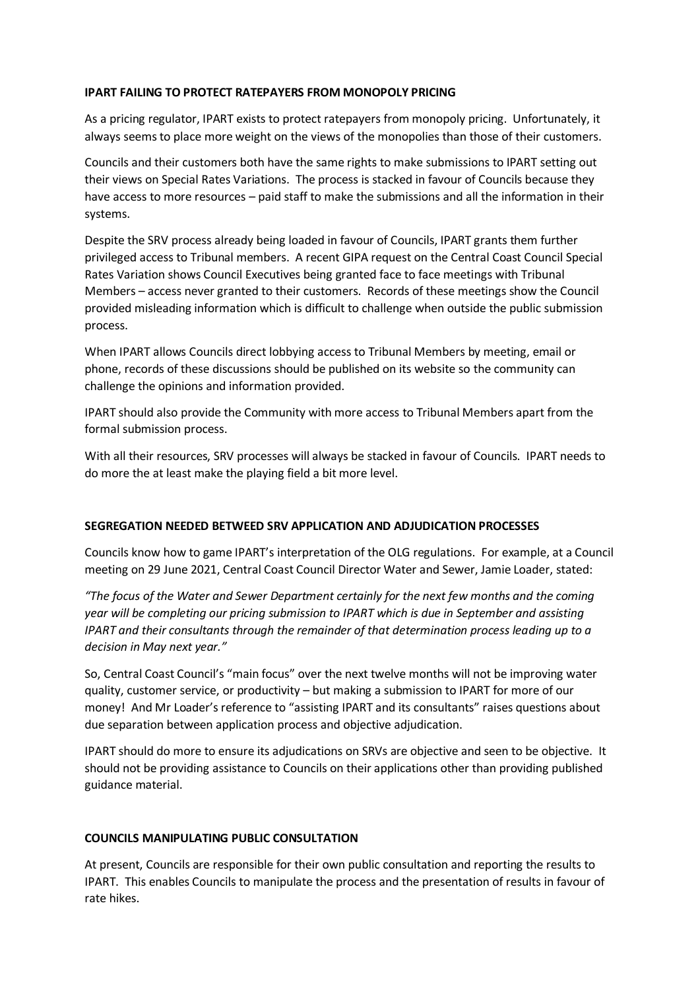### **IPART FAILING TO PROTECT RATEPAYERS FROM MONOPOLY PRICING**

As a pricing regulator, IPART exists to protect ratepayers from monopoly pricing. Unfortunately, it always seems to place more weight on the views of the monopolies than those of their customers.

Councils and their customers both have the same rights to make submissions to IPART setting out their views on Special Rates Variations. The process is stacked in favour of Councils because they have access to more resources – paid staff to make the submissions and all the information in their systems.

Despite the SRV process already being loaded in favour of Councils, IPART grants them further privileged access to Tribunal members. A recent GIPA request on the Central Coast Council Special Rates Variation shows Council Executives being granted face to face meetings with Tribunal Members – access never granted to their customers. Records of these meetings show the Council provided misleading information which is difficult to challenge when outside the public submission process.

When IPART allows Councils direct lobbying access to Tribunal Members by meeting, email or phone, records of these discussions should be published on its website so the community can challenge the opinions and information provided.

IPART should also provide the Community with more access to Tribunal Members apart from the formal submission process.

With all their resources, SRV processes will always be stacked in favour of Councils. IPART needs to do more the at least make the playing field a bit more level.

# **SEGREGATION NEEDED BETWEED SRV APPLICATION AND ADJUDICATION PROCESSES**

Councils know how to game IPART's interpretation of the OLG regulations. For example, at a Council meeting on 29 June 2021, Central Coast Council Director Water and Sewer, Jamie Loader, stated:

*"The focus of the Water and Sewer Department certainly for the next few months and the coming year will be completing our pricing submission to IPART which is due in September and assisting IPART and their consultants through the remainder of that determination process leading up to a decision in May next year."*

So, Central Coast Council's "main focus" over the next twelve months will not be improving water quality, customer service, or productivity – but making a submission to IPART for more of our money! And Mr Loader's reference to "assisting IPART and its consultants" raises questions about due separation between application process and objective adjudication.

IPART should do more to ensure its adjudications on SRVs are objective and seen to be objective. It should not be providing assistance to Councils on their applications other than providing published guidance material.

# **COUNCILS MANIPULATING PUBLIC CONSULTATION**

At present, Councils are responsible for their own public consultation and reporting the results to IPART. This enables Councils to manipulate the process and the presentation of results in favour of rate hikes.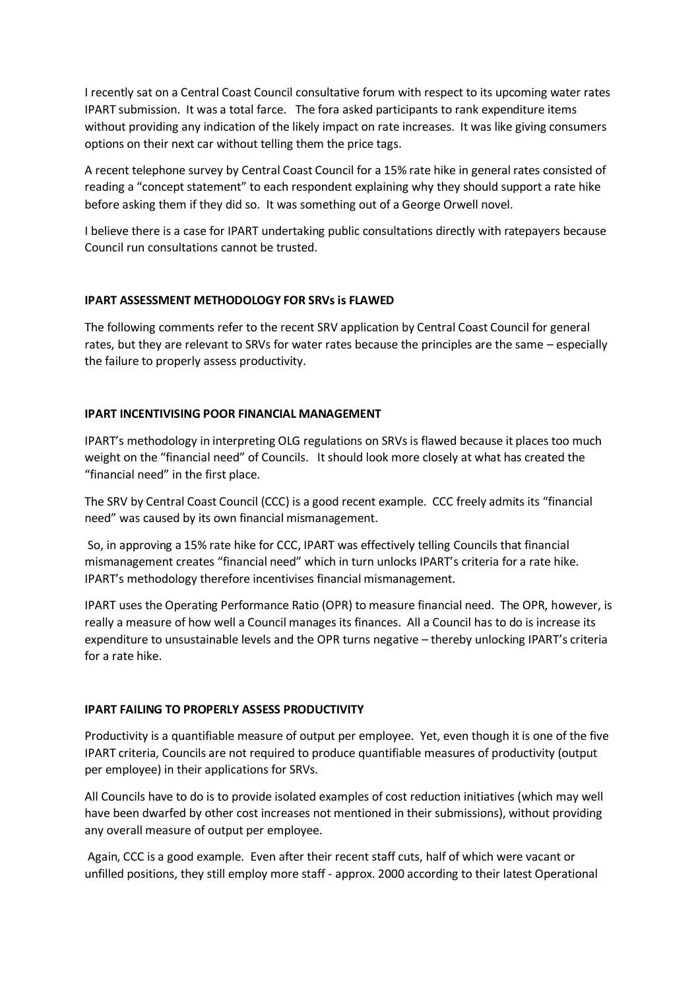I recently sat on a Central Coast Council consultative forum with respect to its upcoming water rates IPART submission. It was a total farce. The fora asked participants to rank expenditure items without providing any indication of the likely impact on rate increases. It was like giving consumers options on their next car without telling them the price tags.

A recent telephone survey by Central Coast Council for a 15% rate hike in general rates consisted of reading a "concept statement" to each respondent explaining why they should support a rate hike before asking them if they did so. It was something out of a George Orwell novel.

I believe there is a case for IPART undertaking public consultations directly with ratepayers because Council run consultations cannot be trusted.

## **IPART ASSESSMENT METHODOLOGY FOR SRVs is FLAWED**

The following comments refer to the recent SRV application by Central Coast Council for general rates, but they are relevant to SRVs for water rates because the principles are the same – especially the failure to properly assess productivity.

## **IPART INCENTIVISING POOR FINANCIAL MANAGEMENT**

IPART's methodology in interpreting OLG regulations on SRVs is flawed because it places too much weight on the "financial need" of Councils. It should look more closely at what has created the "financial need" in the first place.

The SRV by Central Coast Council (CCC) is a good recent example. CCC freely admits its "financial need" was caused by its own financial mismanagement.

So, in approving a 15% rate hike for CCC, IPART was effectively telling Councils that financial mismanagement creates "financial need" which in turn unlocks IPART's criteria for a rate hike. IPART's methodology therefore incentivises financial mismanagement.

IPART uses the Operating Performance Ratio (OPR) to measure financial need. The OPR, however, is really a measure of how well a Council manages its finances. All a Council has to do is increase its expenditure to unsustainable levels and the OPR turns negative – thereby unlocking IPART's criteria for a rate hike.

### **IPART FAILING TO PROPERLY ASSESS PRODUCTIVITY**

Productivity is a quantifiable measure of output per employee. Yet, even though it is one of the five IPART criteria, Councils are not required to produce quantifiable measures of productivity (output per employee) in their applications for SRVs.

All Councils have to do is to provide isolated examples of cost reduction initiatives (which may well have been dwarfed by other cost increases not mentioned in their submissions), without providing any overall measure of output per employee.

Again, CCC is a good example. Even after their recent staff cuts, half of which were vacant or unfilled positions, they still employ more staff - approx. 2000 according to their latest Operational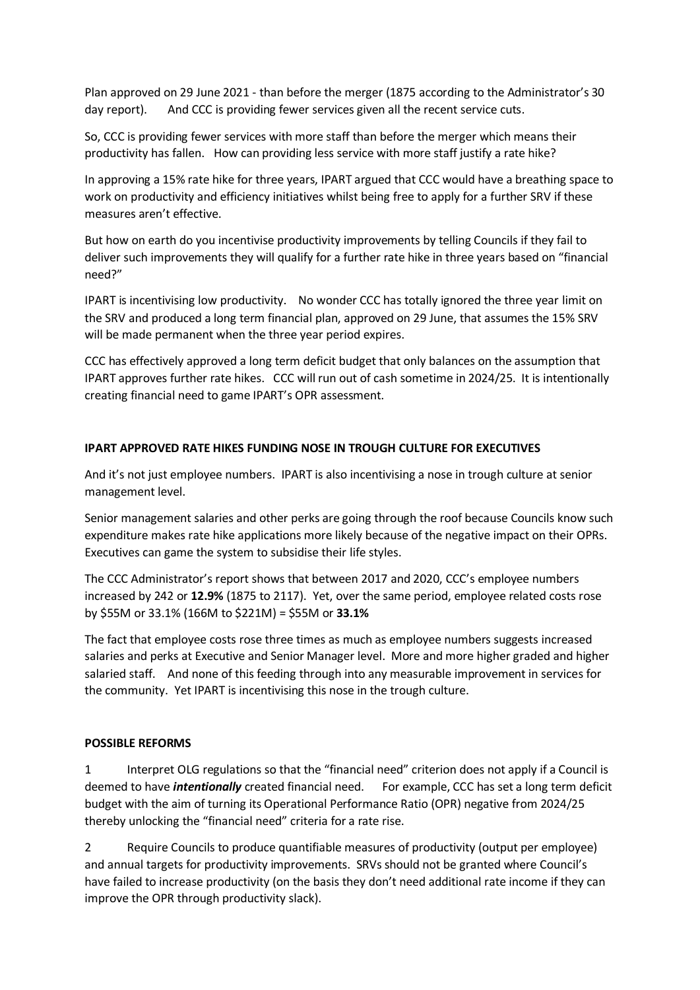Plan approved on 29 June 2021 - than before the merger (1875 according to the Administrator's 30 day report). And CCC is providing fewer services given all the recent service cuts.

So, CCC is providing fewer services with more staff than before the merger which means their productivity has fallen. How can providing less service with more staff justify a rate hike?

In approving a 15% rate hike for three years, IPART argued that CCC would have a breathing space to work on productivity and efficiency initiatives whilst being free to apply for a further SRV if these measures aren't effective.

But how on earth do you incentivise productivity improvements by telling Councils if they fail to deliver such improvements they will qualify for a further rate hike in three years based on "financial need?"

IPART is incentivising low productivity. No wonder CCC has totally ignored the three year limit on the SRV and produced a long term financial plan, approved on 29 June, that assumes the 15% SRV will be made permanent when the three year period expires.

CCC has effectively approved a long term deficit budget that only balances on the assumption that IPART approves further rate hikes. CCC will run out of cash sometime in 2024/25. It is intentionally creating financial need to game IPART's OPR assessment.

# **IPART APPROVED RATE HIKES FUNDING NOSE IN TROUGH CULTURE FOR EXECUTIVES**

And it's not just employee numbers. IPART is also incentivising a nose in trough culture at senior management level.

Senior management salaries and other perks are going through the roof because Councils know such expenditure makes rate hike applications more likely because of the negative impact on their OPRs. Executives can game the system to subsidise their life styles.

The CCC Administrator's report shows that between 2017 and 2020, CCC's employee numbers increased by 242 or **12.9%** (1875 to 2117). Yet, over the same period, employee related costs rose by \$55M or 33.1% (166M to \$221M) = \$55M or **33.1%**

The fact that employee costs rose three times as much as employee numbers suggests increased salaries and perks at Executive and Senior Manager level. More and more higher graded and higher salaried staff. And none of this feeding through into any measurable improvement in services for the community. Yet IPART is incentivising this nose in the trough culture.

# **POSSIBLE REFORMS**

1 Interpret OLG regulations so that the "financial need" criterion does not apply if a Council is deemed to have *intentionally* created financial need. For example, CCC has set a long term deficit budget with the aim of turning its Operational Performance Ratio (OPR) negative from 2024/25 thereby unlocking the "financial need" criteria for a rate rise.

2 Require Councils to produce quantifiable measures of productivity (output per employee) and annual targets for productivity improvements. SRVs should not be granted where Council's have failed to increase productivity (on the basis they don't need additional rate income if they can improve the OPR through productivity slack).